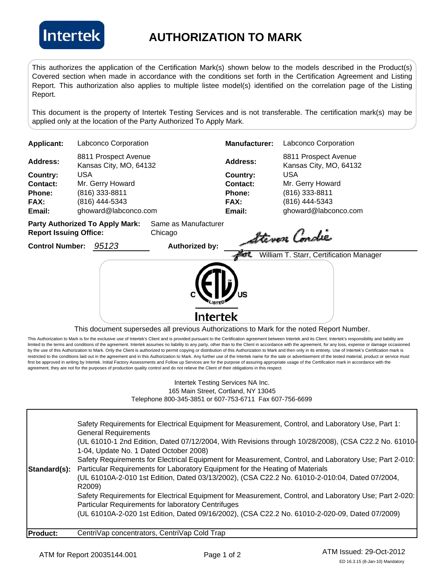

## **AUTHORIZATION TO MARK**

This authorizes the application of the Certification Mark(s) shown below to the models described in the Product(s) Covered section when made in accordance with the conditions set forth in the Certification Agreement and Listing Report. This authorization also applies to multiple listee model(s) identified on the correlation page of the Listing Report.

This document is the property of Intertek Testing Services and is not transferable. The certification mark(s) may be applied only at the location of the Party Authorized To Apply Mark.

| <b>Applicant:</b>             | Labconco Corporation                           |                                 | <b>Manufacturer:</b> | Labconco Corporation                           |
|-------------------------------|------------------------------------------------|---------------------------------|----------------------|------------------------------------------------|
| <b>Address:</b>               | 8811 Prospect Avenue<br>Kansas City, MO, 64132 |                                 | <b>Address:</b>      | 8811 Prospect Avenue<br>Kansas City, MO, 64132 |
| Country:                      | USA                                            |                                 | Country:             | USA                                            |
| Contact:                      | Mr. Gerry Howard                               |                                 | Contact:             | Mr. Gerry Howard                               |
| <b>Phone:</b>                 | (816) 333-8811                                 |                                 | Phone:               | (816) 333-8811                                 |
| <b>FAX:</b>                   | (816) 444-5343                                 |                                 | <b>FAX:</b>          | (816) 444-5343                                 |
| Email:                        | ghoward@labconco.com                           |                                 | Email:               | ghoward@labconco.com                           |
| <b>Donart Iccuing Office:</b> | <b>Party Authorized To Apply Mark:</b>         | Same as Manufacturer<br>Chicago | <b>CONTINUES</b>     |                                                |

**Control Number:**



This document supersedes all previous Authorizations to Mark for the noted Report Number.

This Authorization to Mark is for the exclusive use of Intertek's Client and is provided pursuant to the Certification agreement between Intertek and its Client. Intertek's responsibility and liability are limited to the terms and conditions of the agreement. Intertek assumes no liability to any party, other than to the Client in accordance with the agreement, for any loss, expense or damage occasioned by the use of this Authorization to Mark. Only the Client is authorized to permit copying or distribution of this Authorization to Mark and then only in its entirety. Use of Intertek's Certification mark is restricted to the conditions laid out in the agreement and in this Authorization to Mark. Any further use of the Intertek name for the sale or advertisement of the tested material, product or service must first be approved in writing by Intertek. Initial Factory Assessments and Follow up Services are for the purpose of assuring appropriate usage of the Certification mark in accordance with the agreement, they are not for the purposes of production quality control and do not relieve the Client of their obligations in this respect.

## Intertek Testing Services NA Inc. 165 Main Street, Cortland, NY 13045 Telephone 800-345-3851 or 607-753-6711 Fax 607-756-6699

|              | (UL 61010A-2-020 1st Edition, Dated 09/16/2002), (CSA C22.2 No. 61010-2-020-09, Dated 07/2009)<br>CentriVap concentrators, CentriVap Cold Trap                                          |
|--------------|-----------------------------------------------------------------------------------------------------------------------------------------------------------------------------------------|
|              | R2009)<br>Safety Requirements for Electrical Equipment for Measurement, Control, and Laboratory Use; Part 2-020:<br>Particular Requirements for laboratory Centrifuges                  |
| Standard(s): | (UL 61010A-2-010 1st Edition, Dated 03/13/2002), (CSA C22.2 No. 61010-2-010:04, Dated 07/2004,                                                                                          |
|              | Safety Requirements for Electrical Equipment for Measurement, Control, and Laboratory Use; Part 2-010:<br>Particular Requirements for Laboratory Equipment for the Heating of Materials |
|              | (UL 61010-1 2nd Edition, Dated 07/12/2004, With Revisions through 10/28/2008), (CSA C22.2 No. 61010-<br>1-04, Update No. 1 Dated October 2008)                                          |
|              | Safety Requirements for Electrical Equipment for Measurement, Control, and Laboratory Use, Part 1:<br><b>General Requirements</b>                                                       |